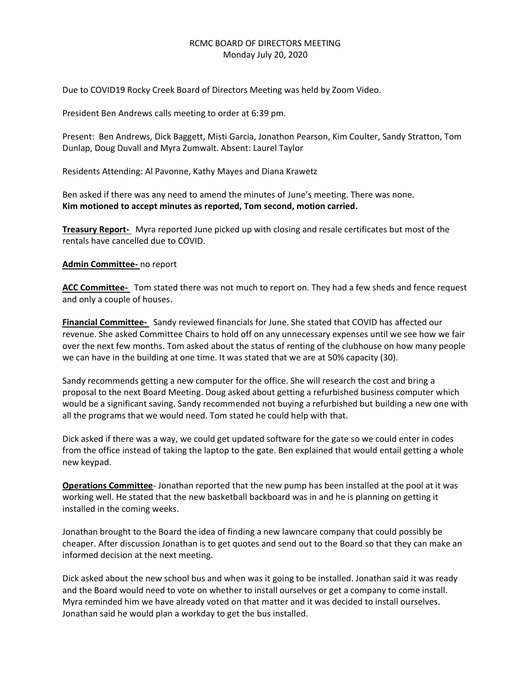# RCMC BOARD OF DIRECTORS MEETING Monday July 20, 2020

Due to COVID19 Rocky Creek Board of Directors Meeting was held by Zoom Video.

President Ben Andrews calls meeting to order at 6:39 pm.

Present: Ben Andrews, Dick Baggett, Misti Garcia, Jonathon Pearson, Kim Coulter, Sandy Stratton, Tom Dunlap, Doug Duvall and Myra Zumwalt. Absent: Laurel Taylor

Residents Attending: Al Pavonne, Kathy Mayes and Diana Krawetz

Ben asked if there was any need to amend the minutes of June's meeting. There was none. **Kim motioned to accept minutes as reported, Tom second, motion carried.**

**Treasury Report-** Myra reported June picked up with closing and resale certificates but most of the rentals have cancelled due to COVID.

## **Admin Committee-** no report

**ACC Committee-** Tom stated there was not much to report on. They had a few sheds and fence request and only a couple of houses.

**Financial Committee-** Sandy reviewed financials for June. She stated that COVID has affected our revenue. She asked Committee Chairs to hold off on any unnecessary expenses until we see how we fair over the next few months. Tom asked about the status of renting of the clubhouse on how many people we can have in the building at one time. It was stated that we are at 50% capacity (30).

Sandy recommends getting a new computer for the office. She will research the cost and bring a proposal to the next Board Meeting. Doug asked about getting a refurbished business computer which would be a significant saving. Sandy recommended not buying a refurbished but building a new one with all the programs that we would need. Tom stated he could help with that.

Dick asked if there was a way, we could get updated software for the gate so we could enter in codes from the office instead of taking the laptop to the gate. Ben explained that would entail getting a whole new keypad.

**Operations Committee**- Jonathan reported that the new pump has been installed at the pool at it was working well. He stated that the new basketball backboard was in and he is planning on getting it installed in the coming weeks.

Jonathan brought to the Board the idea of finding a new lawncare company that could possibly be cheaper. After discussion Jonathan is to get quotes and send out to the Board so that they can make an informed decision at the next meeting.

Dick asked about the new school bus and when was it going to be installed. Jonathan said it was ready and the Board would need to vote on whether to install ourselves or get a company to come install. Myra reminded him we have already voted on that matter and it was decided to install ourselves. Jonathan said he would plan a workday to get the bus installed.